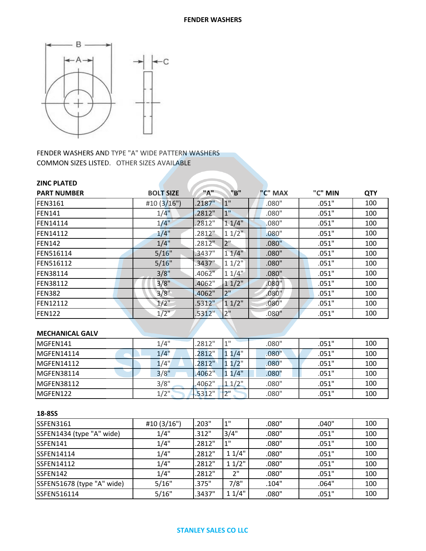

FENDER WASHERS AND TYPE "A" WIDE PATTERN WASHERS COMMON SIZES LISTED. OTHER SIZES AVAILABLE

| <b>ZINC PLATED</b> |                  |           |                 |         |         |            |
|--------------------|------------------|-----------|-----------------|---------|---------|------------|
| <b>PART NUMBER</b> | <b>BOLT SIZE</b> | "A"       | "B"             | "C" MAX | "C" MIN | <b>QTY</b> |
| <b>FEN3161</b>     | #10 $(3/16")$    | $.2187$ " | 1"              | .080"   | .051"   | 100        |
| FEN141             | $1/4$ "          | .2812"    | 1 <sup>''</sup> | .080"   | .051"   | 100        |
| <b>FEN14114</b>    | $1/4$ "          | .2812"    | $1.1/4$ "       | .080"   | .051"   | 100        |
| <b>FEN14112</b>    | $1/4$ "          | .2812"    | $11/2$ "        | .080"   | .051"   | 100        |
| FEN142             | 1/4"             | .2812"    | 2 <sup>11</sup> | .080"   | .051"   | 100        |
| <b>FEN516114</b>   | 5/16"            | .3437"    | 11/4"           | .080"   | .051"   | 100        |
| <b>FEN516112</b>   | 5/16"            | $.3437$ " | 11/2            | .080"   | .051"   | 100        |
| <b>FEN38114</b>    | 3/8"             | .4062"    | $11/4$ "        | .080"   | .051"   | 100        |
| <b>FEN38112</b>    | 3/8"             | .4062"    | 11/2"           | .080"   | .051"   | 100        |
| FEN382             | 3/8"             | .4062"    | 2"              | .080"   | .051"   | 100        |
| <b>FEN12112</b>    | $1/2$ "          | .5312"    | 11/2"           | .080"   | .051"   | 100        |
| <b>FEN122</b>      | $1/2$ "          | .5312"    | 2"              | .080"   | .051"   | 100        |
|                    |                  |           |                 |         |         |            |

# **MECHANICAL GALV**

| MGFEN141    | 1/4"    | .2812" | 4H      | .080" | .051" | 100 |
|-------------|---------|--------|---------|-------|-------|-----|
| MGFEN14114  | 1/4"    | 2812"  | $1/4$ " | .080" | .051" | 100 |
| MGFEN14112  | 1/4"    | 2812"  | $1/2$ " | .080" | .051" | 100 |
| IMGFEN38114 | 3/8"    | .4062" | 1/4"    | .080" | .051" | 100 |
| IMGFEN38112 | 3/8"    | .4062" | 11/2"   | .080" | .051" | 100 |
| MGFEN122    | $1/2$ " | .5312" | ייר     | .080" | .051" | 100 |

## **18-8SS**

| <b>SSFEN3161</b>           | #10 (3/16") | .203"  | 1"    | .080" | .040" | 100 |
|----------------------------|-------------|--------|-------|-------|-------|-----|
| SSFEN1434 (type "A" wide)  | 1/4"        | .312"  | 3/4"  | .080" | .051" | 100 |
| SSFEN141                   | 1/4"        | .2812" | 1"    | .080" | .051" | 100 |
| <b>SSFEN14114</b>          | 1/4"        | .2812" | 11/4" | .080" | .051" | 100 |
| <b>SSFEN14112</b>          | 1/4"        | .2812" | 11/2" | .080" | .051" | 100 |
| SSFEN142                   | 1/4"        | .2812" | 2"    | .080" | .051" | 100 |
| SSFEN51678 (type "A" wide) | 5/16"       | .375"  | 7/8"  | .104" | .064" | 100 |
| SSFEN516114                | 5/16"       | .3437" | 11/4" | .080" | .051" | 100 |

#### **STANLEY SALES CO LLC**